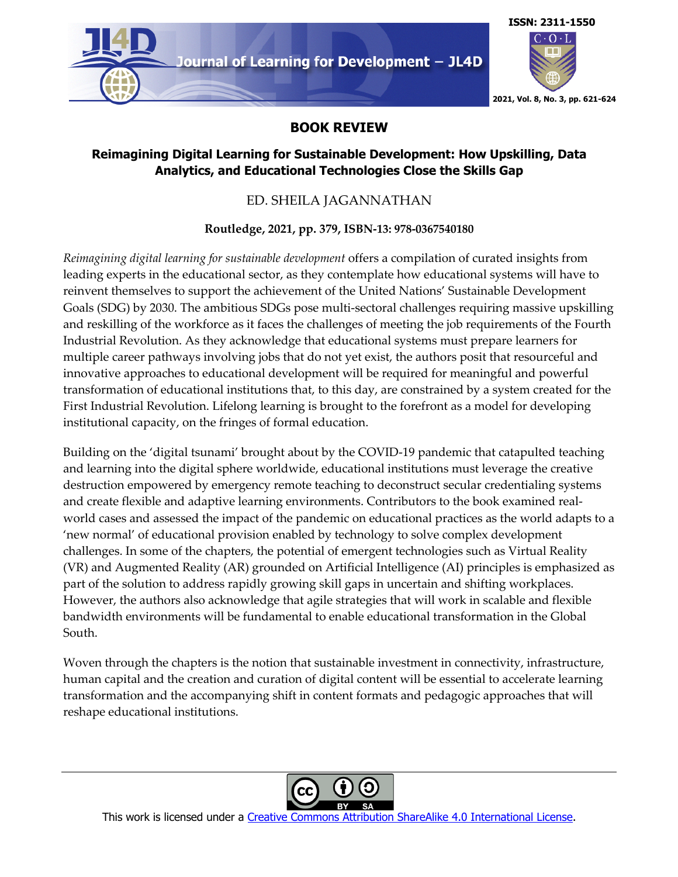

### **BOOK REVIEW**

## **Reimagining Digital Learning for Sustainable Development: How Upskilling, Data Analytics, and Educational Technologies Close the Skills Gap**

# ED. SHEILA JAGANNATHAN

## **Routledge, 2021, pp. 379, ISBN-13: 978-0367540180**

*Reimagining digital learning for sustainable development* offers a compilation of curated insights from leading experts in the educational sector, as they contemplate how educational systems will have to reinvent themselves to support the achievement of the United Nations' Sustainable Development Goals (SDG) by 2030. The ambitious SDGs pose multi-sectoral challenges requiring massive upskilling and reskilling of the workforce as it faces the challenges of meeting the job requirements of the Fourth Industrial Revolution. As they acknowledge that educational systems must prepare learners for multiple career pathways involving jobs that do not yet exist, the authors posit that resourceful and innovative approaches to educational development will be required for meaningful and powerful transformation of educational institutions that, to this day, are constrained by a system created for the First Industrial Revolution. Lifelong learning is brought to the forefront as a model for developing institutional capacity, on the fringes of formal education.

Building on the 'digital tsunami' brought about by the COVID-19 pandemic that catapulted teaching and learning into the digital sphere worldwide, educational institutions must leverage the creative destruction empowered by emergency remote teaching to deconstruct secular credentialing systems and create flexible and adaptive learning environments. Contributors to the book examined realworld cases and assessed the impact of the pandemic on educational practices as the world adapts to a 'new normal' of educational provision enabled by technology to solve complex development challenges. In some of the chapters, the potential of emergent technologies such as Virtual Reality (VR) and Augmented Reality (AR) grounded on Artificial Intelligence (AI) principles is emphasized as part of the solution to address rapidly growing skill gaps in uncertain and shifting workplaces. However, the authors also acknowledge that agile strategies that will work in scalable and flexible bandwidth environments will be fundamental to enable educational transformation in the Global South.

Woven through the chapters is the notion that sustainable investment in connectivity, infrastructure, human capital and the creation and curation of digital content will be essential to accelerate learning transformation and the accompanying shift in content formats and pedagogic approaches that will reshape educational institutions.



This work is licensed under a Creative Commons Attribution ShareAlike 4.0 International License.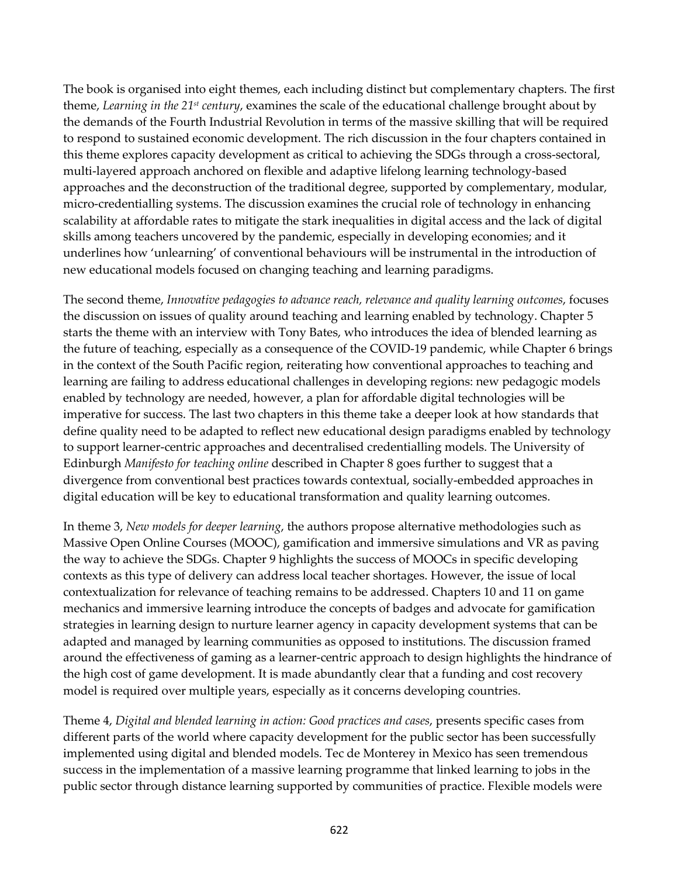The book is organised into eight themes, each including distinct but complementary chapters. The first theme, *Learning in the 21st century*, examines the scale of the educational challenge brought about by the demands of the Fourth Industrial Revolution in terms of the massive skilling that will be required to respond to sustained economic development. The rich discussion in the four chapters contained in this theme explores capacity development as critical to achieving the SDGs through a cross-sectoral, multi-layered approach anchored on flexible and adaptive lifelong learning technology-based approaches and the deconstruction of the traditional degree, supported by complementary, modular, micro-credentialling systems. The discussion examines the crucial role of technology in enhancing scalability at affordable rates to mitigate the stark inequalities in digital access and the lack of digital skills among teachers uncovered by the pandemic, especially in developing economies; and it underlines how 'unlearning' of conventional behaviours will be instrumental in the introduction of new educational models focused on changing teaching and learning paradigms.

The second theme, *Innovative pedagogies to advance reach, relevance and quality learning outcomes*, focuses the discussion on issues of quality around teaching and learning enabled by technology. Chapter 5 starts the theme with an interview with Tony Bates, who introduces the idea of blended learning as the future of teaching, especially as a consequence of the COVID-19 pandemic, while Chapter 6 brings in the context of the South Pacific region, reiterating how conventional approaches to teaching and learning are failing to address educational challenges in developing regions: new pedagogic models enabled by technology are needed, however, a plan for affordable digital technologies will be imperative for success. The last two chapters in this theme take a deeper look at how standards that define quality need to be adapted to reflect new educational design paradigms enabled by technology to support learner-centric approaches and decentralised credentialling models. The University of Edinburgh *Manifesto for teaching online* described in Chapter 8 goes further to suggest that a divergence from conventional best practices towards contextual, socially-embedded approaches in digital education will be key to educational transformation and quality learning outcomes.

In theme 3, *New models for deeper learning*, the authors propose alternative methodologies such as Massive Open Online Courses (MOOC), gamification and immersive simulations and VR as paving the way to achieve the SDGs. Chapter 9 highlights the success of MOOCs in specific developing contexts as this type of delivery can address local teacher shortages. However, the issue of local contextualization for relevance of teaching remains to be addressed. Chapters 10 and 11 on game mechanics and immersive learning introduce the concepts of badges and advocate for gamification strategies in learning design to nurture learner agency in capacity development systems that can be adapted and managed by learning communities as opposed to institutions. The discussion framed around the effectiveness of gaming as a learner-centric approach to design highlights the hindrance of the high cost of game development. It is made abundantly clear that a funding and cost recovery model is required over multiple years, especially as it concerns developing countries.

Theme 4, *Digital and blended learning in action: Good practices and cases*, presents specific cases from different parts of the world where capacity development for the public sector has been successfully implemented using digital and blended models. Tec de Monterey in Mexico has seen tremendous success in the implementation of a massive learning programme that linked learning to jobs in the public sector through distance learning supported by communities of practice. Flexible models were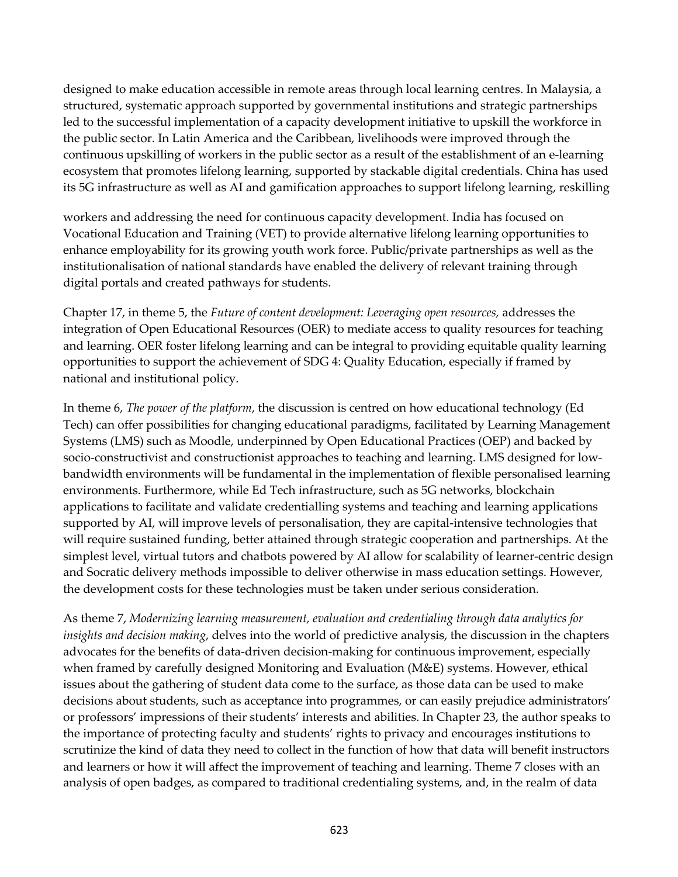designed to make education accessible in remote areas through local learning centres. In Malaysia, a structured, systematic approach supported by governmental institutions and strategic partnerships led to the successful implementation of a capacity development initiative to upskill the workforce in the public sector. In Latin America and the Caribbean, livelihoods were improved through the continuous upskilling of workers in the public sector as a result of the establishment of an e-learning ecosystem that promotes lifelong learning, supported by stackable digital credentials. China has used its 5G infrastructure as well as AI and gamification approaches to support lifelong learning, reskilling

workers and addressing the need for continuous capacity development. India has focused on Vocational Education and Training (VET) to provide alternative lifelong learning opportunities to enhance employability for its growing youth work force. Public/private partnerships as well as the institutionalisation of national standards have enabled the delivery of relevant training through digital portals and created pathways for students.

Chapter 17, in theme 5, the *Future of content development: Leveraging open resources,* addresses the integration of Open Educational Resources (OER) to mediate access to quality resources for teaching and learning. OER foster lifelong learning and can be integral to providing equitable quality learning opportunities to support the achievement of SDG 4: Quality Education, especially if framed by national and institutional policy.

In theme 6, *The power of the platform*, the discussion is centred on how educational technology (Ed Tech) can offer possibilities for changing educational paradigms, facilitated by Learning Management Systems (LMS) such as Moodle, underpinned by Open Educational Practices (OEP) and backed by socio-constructivist and constructionist approaches to teaching and learning. LMS designed for lowbandwidth environments will be fundamental in the implementation of flexible personalised learning environments. Furthermore, while Ed Tech infrastructure, such as 5G networks, blockchain applications to facilitate and validate credentialling systems and teaching and learning applications supported by AI, will improve levels of personalisation, they are capital-intensive technologies that will require sustained funding, better attained through strategic cooperation and partnerships. At the simplest level, virtual tutors and chatbots powered by AI allow for scalability of learner-centric design and Socratic delivery methods impossible to deliver otherwise in mass education settings. However, the development costs for these technologies must be taken under serious consideration.

As theme 7, *Modernizing learning measurement, evaluation and credentialing through data analytics for insights and decision making*, delves into the world of predictive analysis, the discussion in the chapters advocates for the benefits of data-driven decision-making for continuous improvement, especially when framed by carefully designed Monitoring and Evaluation (M&E) systems. However, ethical issues about the gathering of student data come to the surface, as those data can be used to make decisions about students, such as acceptance into programmes, or can easily prejudice administrators' or professors' impressions of their students' interests and abilities. In Chapter 23, the author speaks to the importance of protecting faculty and students' rights to privacy and encourages institutions to scrutinize the kind of data they need to collect in the function of how that data will benefit instructors and learners or how it will affect the improvement of teaching and learning. Theme 7 closes with an analysis of open badges, as compared to traditional credentialing systems, and, in the realm of data